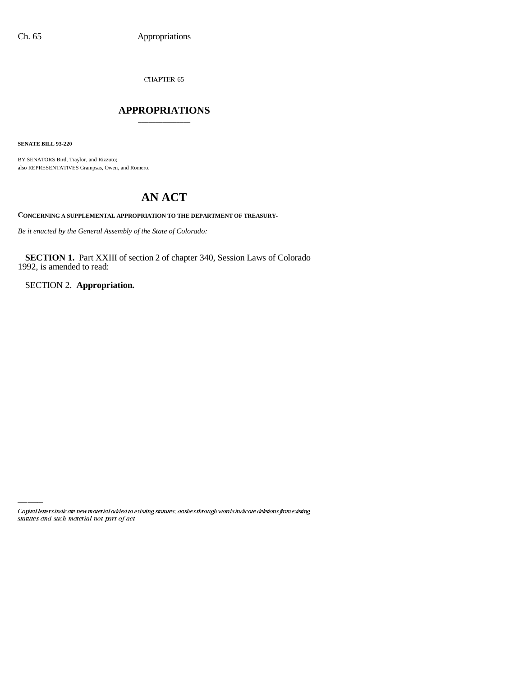CHAPTER  $65\,$ 

## \_\_\_\_\_\_\_\_\_\_\_\_\_\_\_ **APPROPRIATIONS** \_\_\_\_\_\_\_\_\_\_\_\_\_\_\_

**SENATE BILL 93-220**

BY SENATORS Bird, Traylor, and Rizzuto; also REPRESENTATIVES Grampsas, Owen, and Romero.

# **AN ACT**

**CONCERNING A SUPPLEMENTAL APPROPRIATION TO THE DEPARTMENT OF TREASURY.**

*Be it enacted by the General Assembly of the State of Colorado:*

**SECTION 1.** Part XXIII of section 2 of chapter 340, Session Laws of Colorado 1992, is amended to read:

SECTION 2. **Appropriation.**

Capital letters indicate new material added to existing statutes; dashes through words indicate deletions from existing statutes and such material not part of act.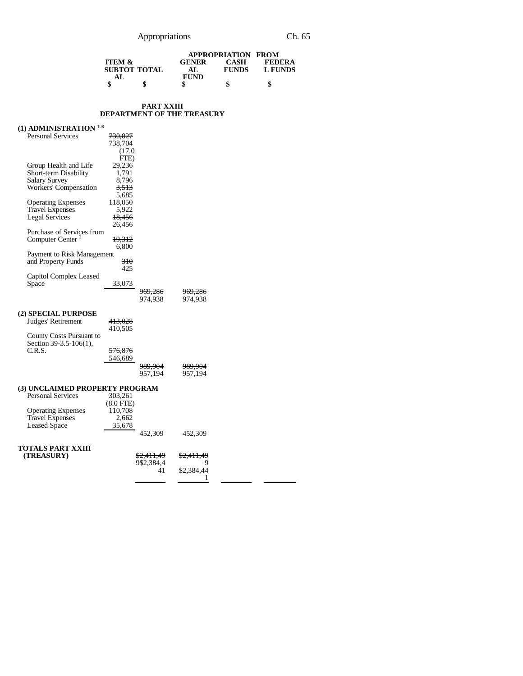### Appropriations Ch. 65

|                   |    | <b>APPROPRIATION FROM</b> |              |                |
|-------------------|----|---------------------------|--------------|----------------|
| <b>ITEM &amp;</b> |    | <b>GENER</b>              | <b>CASH</b>  | FEDERA         |
| SUBTOT TOTAL      |    | AL.                       | <b>FUNDS</b> | <b>L FUNDS</b> |
| AT.               |    | <b>FUND</b>               |              |                |
|                   | \$ |                           | \$           | \$             |

9

1

#### **PART XXIII DEPARTMENT OF THE TREASURY**

#### **(1) ADMINISTRATION** <sup>108</sup> Personal Services 730,827 738,704  $(17.0)$  $\overline{FTE}$ )<br>29,236 Group Health and Life 29,236<br>Short-term Disability 1,791 Short-term Disability 1,791<br>Salary Survey 8,796 Salary Survey Workers' Compensation  $\frac{3,513}{5,685}$ <br>118,050 Operating Expenses 118,050<br>Travel Expenses 5,922 Travel Expenses 5,922 Legal Services 18,456 26,456 Purchase of Services from Computer Center  $2 \overline{19,312}$ 6,800 Payment to Risk Management and Property Funds 310 425 Capitol Complex Leased 33,073 969,286 969,286<br>974,938 974,938 974,938 974,938 **(2) SPECIAL PURPOSE** Judges' Retirement 413,028 410,505 County Costs Pursuant to Section 39-3.5-106(1), C.R.S. 576,876 546,689 989,904 989,904<br>957,194 957,194 957,194 **(3) UNCLAIMED PROPERTY PROGRAM** Personal Services  $(8.0 \text{ FTE})$ <br> $110,708$ Operating Expenses 110,708<br>Travel Expenses 2,662<br>Leased Space 35,678 Travel Expenses Leased Space 452,309 452,309 **TOTALS PART XXIII (TREASURY)** \$2,411,49<br>9\$2,384,4 41 \$2,411,49 \$2,384,44